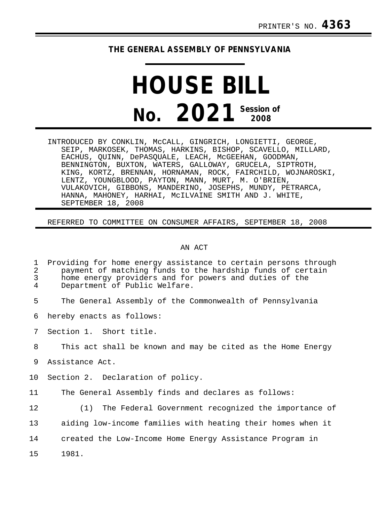## **THE GENERAL ASSEMBLY OF PENNSYLVANIA**

## **HOUSE BILL No. 2021 Session of 2008**

INTRODUCED BY CONKLIN, McCALL, GINGRICH, LONGIETTI, GEORGE, SEIP, MARKOSEK, THOMAS, HARKINS, BISHOP, SCAVELLO, MILLARD, EACHUS, QUINN, DePASQUALE, LEACH, McGEEHAN, GOODMAN, BENNINGTON, BUXTON, WATERS, GALLOWAY, GRUCELA, SIPTROTH, KING, KORTZ, BRENNAN, HORNAMAN, ROCK, FAIRCHILD, WOJNAROSKI, LENTZ, YOUNGBLOOD, PAYTON, MANN, MURT, M. O'BRIEN, VULAKOVICH, GIBBONS, MANDERINO, JOSEPHS, MUNDY, PETRARCA, HANNA, MAHONEY, HARHAI, McILVAINE SMITH AND J. WHITE, SEPTEMBER 18, 2008

## REFERRED TO COMMITTEE ON CONSUMER AFFAIRS, SEPTEMBER 18, 2008

## AN ACT

| $\mathbf{1}$<br>$\overline{2}$<br>3<br>4 | Providing for home energy assistance to certain persons through<br>payment of matching funds to the hardship funds of certain<br>home energy providers and for powers and duties of the<br>Department of Public Welfare. |
|------------------------------------------|--------------------------------------------------------------------------------------------------------------------------------------------------------------------------------------------------------------------------|
| 5                                        | The General Assembly of the Commonwealth of Pennsylvania                                                                                                                                                                 |
| 6                                        | hereby enacts as follows:                                                                                                                                                                                                |
| 7                                        | Section 1. Short title.                                                                                                                                                                                                  |
| 8                                        | This act shall be known and may be cited as the Home Energy                                                                                                                                                              |
| 9                                        | Assistance Act.                                                                                                                                                                                                          |
| 10                                       | Section 2. Declaration of policy.                                                                                                                                                                                        |
| 11                                       | The General Assembly finds and declares as follows:                                                                                                                                                                      |
| 12                                       | (1) The Federal Government recognized the importance of                                                                                                                                                                  |
| 13                                       | aiding low-income families with heating their homes when it                                                                                                                                                              |
| 14                                       | created the Low-Income Home Energy Assistance Program in                                                                                                                                                                 |
| 15                                       | 1981.                                                                                                                                                                                                                    |
|                                          |                                                                                                                                                                                                                          |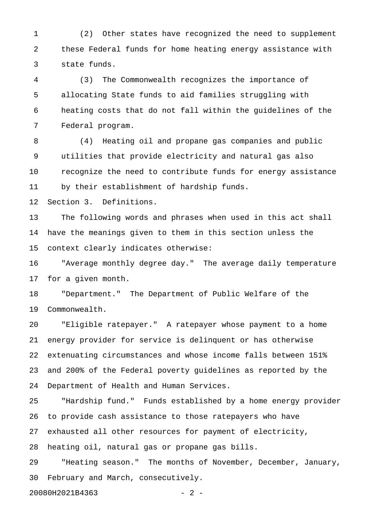1 (2) Other states have recognized the need to supplement 2 these Federal funds for home heating energy assistance with 3 state funds.

4 (3) The Commonwealth recognizes the importance of 5 allocating State funds to aid families struggling with 6 heating costs that do not fall within the guidelines of the 7 Federal program.

8 (4) Heating oil and propane gas companies and public 9 utilities that provide electricity and natural gas also 10 recognize the need to contribute funds for energy assistance 11 by their establishment of hardship funds.

12 Section 3. Definitions.

13 The following words and phrases when used in this act shall 14 have the meanings given to them in this section unless the 15 context clearly indicates otherwise:

16 "Average monthly degree day." The average daily temperature 17 for a given month.

18 "Department." The Department of Public Welfare of the 19 Commonwealth.

20 "Eligible ratepayer." A ratepayer whose payment to a home 21 energy provider for service is delinquent or has otherwise 22 extenuating circumstances and whose income falls between 151% 23 and 200% of the Federal poverty guidelines as reported by the 24 Department of Health and Human Services.

25 "Hardship fund." Funds established by a home energy provider 26 to provide cash assistance to those ratepayers who have 27 exhausted all other resources for payment of electricity, 28 heating oil, natural gas or propane gas bills. 29 "Heating season." The months of November, December, January,

30 February and March, consecutively.

20080H2021B4363 - 2 -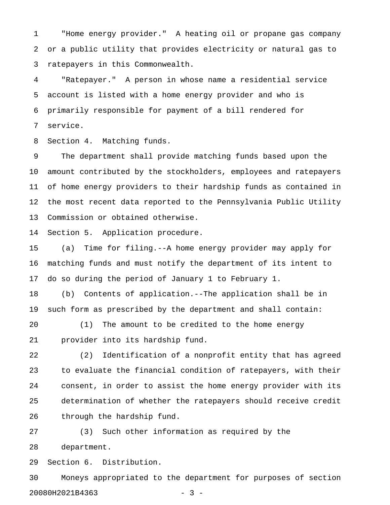1 "Home energy provider." A heating oil or propane gas company 2 or a public utility that provides electricity or natural gas to 3 ratepayers in this Commonwealth.

4 "Ratepayer." A person in whose name a residential service 5 account is listed with a home energy provider and who is 6 primarily responsible for payment of a bill rendered for 7 service.

8 Section 4. Matching funds.

9 The department shall provide matching funds based upon the 10 amount contributed by the stockholders, employees and ratepayers 11 of home energy providers to their hardship funds as contained in 12 the most recent data reported to the Pennsylvania Public Utility 13 Commission or obtained otherwise.

14 Section 5. Application procedure.

15 (a) Time for filing.--A home energy provider may apply for 16 matching funds and must notify the department of its intent to 17 do so during the period of January 1 to February 1.

18 (b) Contents of application.--The application shall be in 19 such form as prescribed by the department and shall contain:

20 (1) The amount to be credited to the home energy 21 provider into its hardship fund.

22 (2) Identification of a nonprofit entity that has agreed 23 to evaluate the financial condition of ratepayers, with their 24 consent, in order to assist the home energy provider with its 25 determination of whether the ratepayers should receive credit 26 through the hardship fund.

27 (3) Such other information as required by the 28 department.

29 Section 6. Distribution.

30 Moneys appropriated to the department for purposes of section 20080H2021B4363 - 3 -